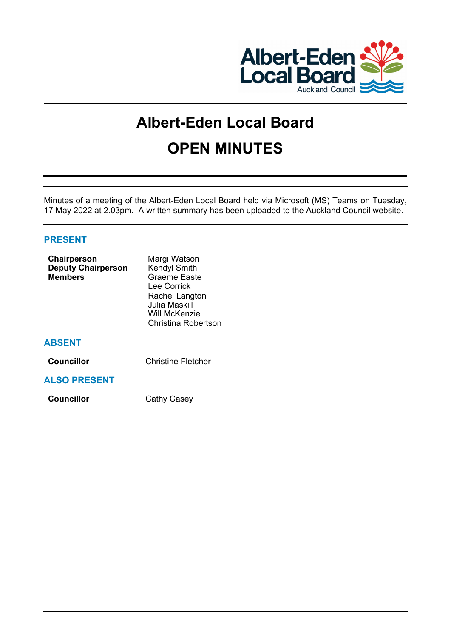

# **Albert-Eden Local Board OPEN MINUTES**

Minutes of a meeting of the Albert-Eden Local Board held via Microsoft (MS) Teams on Tuesday, 17 May 2022 at 2.03pm. A written summary has been uploaded to the Auckland Council website.

# **PRESENT**

| Chairperson<br><b>Deputy Chairperson</b><br><b>Members</b> | Margi Watson<br><b>Kendyl Smith</b><br><b>Graeme Easte</b><br>Lee Corrick<br>Rachel Langton<br>Julia Maskill<br>Will McKenzie<br><b>Christina Robertson</b> |
|------------------------------------------------------------|-------------------------------------------------------------------------------------------------------------------------------------------------------------|
| <b>ABSENT</b>                                              |                                                                                                                                                             |
| Councillor                                                 | <b>Christine Fletcher</b>                                                                                                                                   |
| <b>ALSO PRESENT</b>                                        |                                                                                                                                                             |
| <b>Councillor</b>                                          | Cathy Casey                                                                                                                                                 |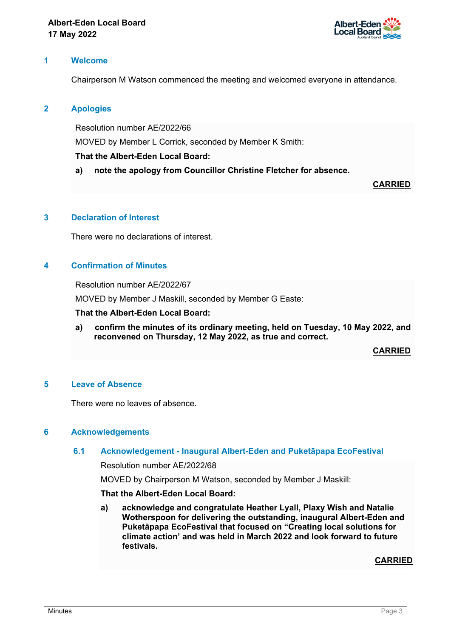

# **1 Welcome**

Chairperson M Watson commenced the meeting and welcomed everyone in attendance.

# **2 Apologies**

Resolution number AE/2022/66 MOVED by Member L Corrick, seconded by Member K Smith: **That the Albert-Eden Local Board:** 

**a) note the apology from Councillor Christine Fletcher for absence.**

**CARRIED**

# **3 Declaration of Interest**

There were no declarations of interest.

# **4 Confirmation of Minutes**

Resolution number AE/2022/67

MOVED by Member J Maskill, seconded by Member G Easte:

#### **That the Albert-Eden Local Board:**

**a) confirm the minutes of its ordinary meeting, held on Tuesday, 10 May 2022, and reconvened on Thursday, 12 May 2022, as true and correct.**

**CARRIED**

# **5 Leave of Absence**

There were no leaves of absence.

### **6 Acknowledgements**

# **6.1 Acknowledgement - Inaugural Albert-Eden and Puketāpapa EcoFestival**

Resolution number AE/2022/68

MOVED by Chairperson M Watson, seconded by Member J Maskill:

# **That the Albert-Eden Local Board:**

**a) acknowledge and congratulate Heather Lyall, Plaxy Wish and Natalie Wotherspoon for delivering the outstanding, inaugural Albert-Eden and Puketāpapa EcoFestival that focused on "Creating local solutions for climate action' and was held in March 2022 and look forward to future festivals.**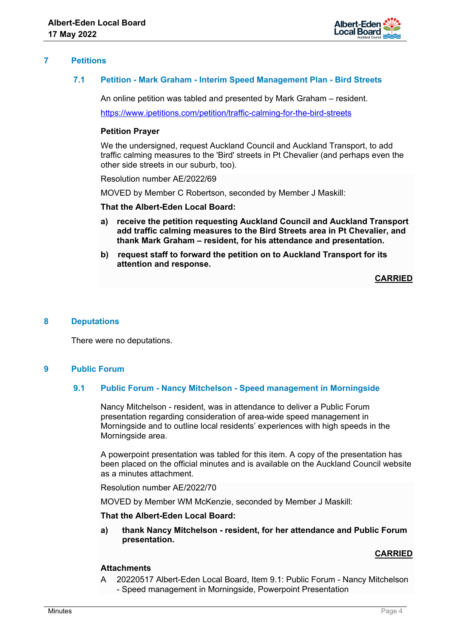

# **7 Petitions**

# **7.1 Petition - Mark Graham - Interim Speed Management Plan - Bird Streets**

An online petition was tabled and presented by Mark Graham – resident.

<https://www.ipetitions.com/petition/traffic-calming-for-the-bird-streets>

#### **Petition Prayer**

We the undersigned, request Auckland Council and Auckland Transport, to add traffic calming measures to the 'Bird' streets in Pt Chevalier (and perhaps even the other side streets in our suburb, too).

Resolution number AE/2022/69

MOVED by Member C Robertson, seconded by Member J Maskill:

**That the Albert-Eden Local Board:** 

- **a) receive the petition requesting Auckland Council and Auckland Transport add traffic calming measures to the Bird Streets area in Pt Chevalier, and thank Mark Graham – resident, for his attendance and presentation.**
- **b) request staff to forward the petition on to Auckland Transport for its attention and response.**

**CARRIED**

### **8 Deputations**

There were no deputations.

# **9 Public Forum**

#### **9.1 Public Forum - Nancy Mitchelson - Speed management in Morningside**

Nancy Mitchelson - resident, was in attendance to deliver a Public Forum presentation regarding consideration of area-wide speed management in Morningside and to outline local residents' experiences with high speeds in the Morningside area.

A powerpoint presentation was tabled for this item. A copy of the presentation has been placed on the official minutes and is available on the Auckland Council website as a minutes attachment.

Resolution number AE/2022/70

MOVED by Member WM McKenzie, seconded by Member J Maskill:

#### **That the Albert-Eden Local Board:**

**a) thank Nancy Mitchelson - resident, for her attendance and Public Forum presentation.**

### **CARRIED**

### **Attachments**

A 20220517 Albert-Eden Local Board, Item 9.1: Public Forum - Nancy Mitchelson - Speed management in Morningside, Powerpoint Presentation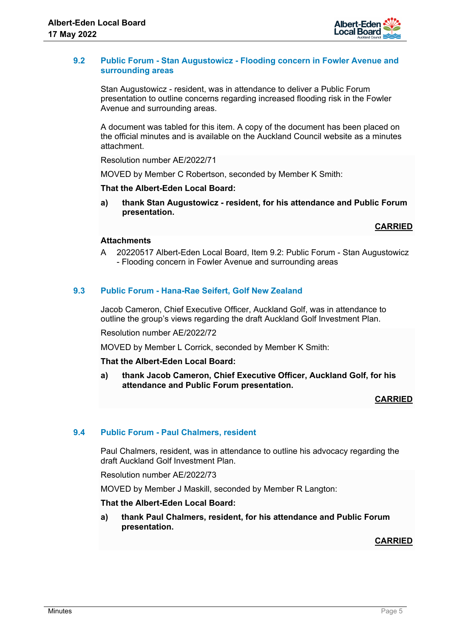

# **9.2 Public Forum - Stan Augustowicz - Flooding concern in Fowler Avenue and surrounding areas**

Stan Augustowicz - resident, was in attendance to deliver a Public Forum presentation to outline concerns regarding increased flooding risk in the Fowler Avenue and surrounding areas.

A document was tabled for this item. A copy of the document has been placed on the official minutes and is available on the Auckland Council website as a minutes attachment.

Resolution number AE/2022/71

MOVED by Member C Robertson, seconded by Member K Smith:

# **That the Albert-Eden Local Board:**

**a) thank Stan Augustowicz - resident, for his attendance and Public Forum presentation.**

**CARRIED**

# **Attachments**

A 20220517 Albert-Eden Local Board, Item 9.2: Public Forum - Stan Augustowicz - Flooding concern in Fowler Avenue and surrounding areas

# **9.3 Public Forum - Hana-Rae Seifert, Golf New Zealand**

Jacob Cameron, Chief Executive Officer, Auckland Golf, was in attendance to outline the group's views regarding the draft Auckland Golf Investment Plan.

Resolution number AE/2022/72

MOVED by Member L Corrick, seconded by Member K Smith:

### **That the Albert-Eden Local Board:**

**a) thank Jacob Cameron, Chief Executive Officer, Auckland Golf, for his attendance and Public Forum presentation.**

**CARRIED**

### **9.4 Public Forum - Paul Chalmers, resident**

Paul Chalmers, resident, was in attendance to outline his advocacy regarding the draft Auckland Golf Investment Plan.

Resolution number AE/2022/73

MOVED by Member J Maskill, seconded by Member R Langton:

### **That the Albert-Eden Local Board:**

**a) thank Paul Chalmers, resident, for his attendance and Public Forum presentation.**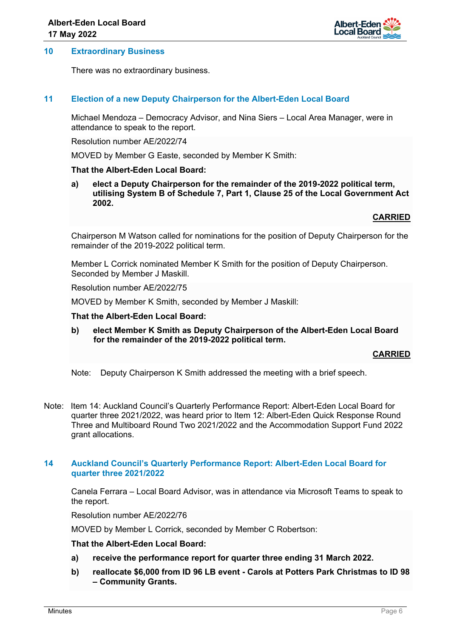

#### **10 Extraordinary Business**

There was no extraordinary business.

### **11 Election of a new Deputy Chairperson for the Albert-Eden Local Board**

Michael Mendoza – Democracy Advisor, and Nina Siers – Local Area Manager, were in attendance to speak to the report.

Resolution number AE/2022/74

MOVED by Member G Easte, seconded by Member K Smith:

#### **That the Albert-Eden Local Board:**

**a) elect a Deputy Chairperson for the remainder of the 2019-2022 political term, utilising System B of Schedule 7, Part 1, Clause 25 of the Local Government Act 2002.**

### **CARRIED**

Chairperson M Watson called for nominations for the position of Deputy Chairperson for the remainder of the 2019-2022 political term.

Member L Corrick nominated Member K Smith for the position of Deputy Chairperson. Seconded by Member J Maskill.

Resolution number AE/2022/75

MOVED by Member K Smith, seconded by Member J Maskill:

#### **That the Albert-Eden Local Board:**

**b) elect Member K Smith as Deputy Chairperson of the Albert-Eden Local Board for the remainder of the 2019-2022 political term.**

### **CARRIED**

Note: Deputy Chairperson K Smith addressed the meeting with a brief speech.

Note: Item 14: Auckland Council's Quarterly Performance Report: Albert-Eden Local Board for quarter three 2021/2022, was heard prior to Item 12: Albert-Eden Quick Response Round Three and Multiboard Round Two 2021/2022 and the Accommodation Support Fund 2022 grant allocations.

### **14 Auckland Council's Quarterly Performance Report: Albert-Eden Local Board for quarter three 2021/2022**

Canela Ferrara – Local Board Advisor, was in attendance via Microsoft Teams to speak to the report.

Resolution number AE/2022/76

MOVED by Member L Corrick, seconded by Member C Robertson:

- **a) receive the performance report for quarter three ending 31 March 2022.**
- **b) reallocate \$6,000 from ID 96 LB event Carols at Potters Park Christmas to ID 98 – Community Grants.**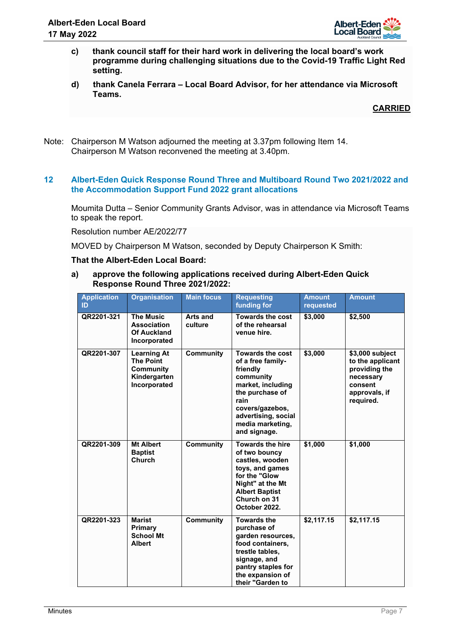

- **c) thank council staff for their hard work in delivering the local board's work programme during challenging situations due to the Covid-19 Traffic Light Red setting.**
- **d) thank Canela Ferrara Local Board Advisor, for her attendance via Microsoft Teams.**

Note: Chairperson M Watson adjourned the meeting at 3.37pm following Item 14. Chairperson M Watson reconvened the meeting at 3.40pm.

# **12 Albert-Eden Quick Response Round Three and Multiboard Round Two 2021/2022 and the Accommodation Support Fund 2022 grant allocations**

Moumita Dutta – Senior Community Grants Advisor, was in attendance via Microsoft Teams to speak the report.

Resolution number AE/2022/77

MOVED by Chairperson M Watson, seconded by Deputy Chairperson K Smith:

# **That the Albert-Eden Local Board:**

**a) approve the following applications received during Albert-Eden Quick Response Round Three 2021/2022:** 

| <b>Application</b><br>ID | <b>Organisation</b>                                                                 | <b>Main focus</b>   | <b>Requesting</b><br>funding for                                                                                                                                                                    | <b>Amount</b><br>requested | <b>Amount</b>                                                                                              |
|--------------------------|-------------------------------------------------------------------------------------|---------------------|-----------------------------------------------------------------------------------------------------------------------------------------------------------------------------------------------------|----------------------------|------------------------------------------------------------------------------------------------------------|
| QR2201-321               | <b>The Music</b><br><b>Association</b><br><b>Of Auckland</b><br>Incorporated        | Arts and<br>culture | <b>Towards the cost</b><br>of the rehearsal<br>venue hire.                                                                                                                                          | \$3,000                    | \$2,500                                                                                                    |
| QR2201-307               | <b>Learning At</b><br><b>The Point</b><br>Community<br>Kindergarten<br>Incorporated | <b>Community</b>    | <b>Towards the cost</b><br>of a free family-<br>friendly<br>community<br>market, including<br>the purchase of<br>rain<br>covers/gazebos,<br>advertising, social<br>media marketing,<br>and signage. | \$3,000                    | \$3,000 subject<br>to the applicant<br>providing the<br>necessary<br>consent<br>approvals, if<br>required. |
| QR2201-309               | <b>Mt Albert</b><br><b>Baptist</b><br>Church                                        | <b>Community</b>    | <b>Towards the hire</b><br>of two bouncy<br>castles, wooden<br>toys, and games<br>for the "Glow<br>Night" at the Mt<br><b>Albert Baptist</b><br>Church on 31<br>October 2022.                       | \$1,000                    | \$1,000                                                                                                    |
| QR2201-323               | <b>Marist</b><br>Primary<br><b>School Mt</b><br><b>Albert</b>                       | <b>Community</b>    | <b>Towards the</b><br>purchase of<br>garden resources,<br>food containers,<br>trestle tables,<br>signage, and<br>pantry staples for<br>the expansion of<br>their "Garden to                         | \$2,117.15                 | \$2,117.15                                                                                                 |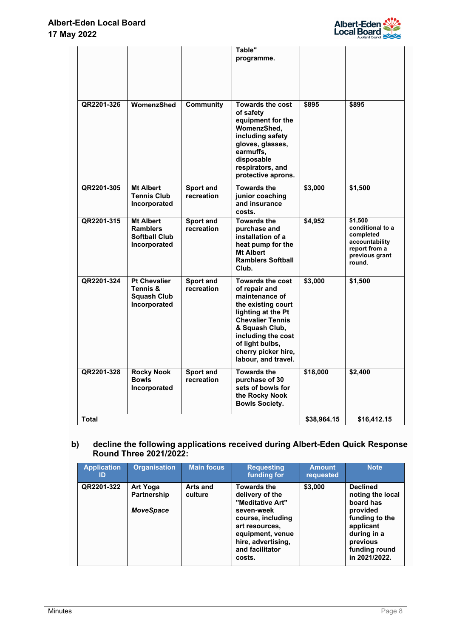

|              |                                                                             |                                | Table"<br>programme.                                                                                                                                                                                                                       |             |                                                                                                         |
|--------------|-----------------------------------------------------------------------------|--------------------------------|--------------------------------------------------------------------------------------------------------------------------------------------------------------------------------------------------------------------------------------------|-------------|---------------------------------------------------------------------------------------------------------|
| QR2201-326   | WomenzShed                                                                  | <b>Community</b>               | <b>Towards the cost</b><br>of safety<br>equipment for the<br>WomenzShed,<br>including safety<br>gloves, glasses,<br>earmuffs,<br>disposable<br>respirators, and<br>protective aprons.                                                      | \$895       | \$895                                                                                                   |
| QR2201-305   | <b>Mt Albert</b><br><b>Tennis Club</b><br>Incorporated                      | <b>Sport and</b><br>recreation | <b>Towards the</b><br>junior coaching<br>and insurance<br>costs.                                                                                                                                                                           | \$3,000     | \$1,500                                                                                                 |
| QR2201-315   | <b>Mt Albert</b><br><b>Ramblers</b><br><b>Softball Club</b><br>Incorporated | <b>Sport and</b><br>recreation | <b>Towards the</b><br>purchase and<br>installation of a<br>heat pump for the<br><b>Mt Albert</b><br><b>Ramblers Softball</b><br>Club.                                                                                                      | \$4,952     | \$1,500<br>conditional to a<br>completed<br>accountability<br>report from a<br>previous grant<br>round. |
| QR2201-324   | <b>Pt Chevalier</b><br>Tennis &<br><b>Squash Club</b><br>Incorporated       | Sport and<br>recreation        | <b>Towards the cost</b><br>of repair and<br>maintenance of<br>the existing court<br>lighting at the Pt<br><b>Chevalier Tennis</b><br>& Squash Club,<br>including the cost<br>of light bulbs,<br>cherry picker hire,<br>labour, and travel. | \$3,000     | \$1,500                                                                                                 |
| QR2201-328   | <b>Rocky Nook</b><br><b>Bowls</b><br>Incorporated                           | <b>Sport and</b><br>recreation | <b>Towards the</b><br>purchase of 30<br>sets of bowls for<br>the Rocky Nook<br><b>Bowls Society.</b>                                                                                                                                       | \$18,000    | \$2,400                                                                                                 |
| <b>Total</b> |                                                                             |                                |                                                                                                                                                                                                                                            | \$38,964.15 | \$16.412.15                                                                                             |

# **b) decline the following applications received during Albert-Eden Quick Response Round Three 2021/2022:**

| <b>Application</b><br>ID | <b>Organisation</b>                                | <b>Main focus</b>   | <b>Requesting</b><br>funding for                                                                                                                                                      | <b>Amount</b><br>requested | <b>Note</b>                                                                                                                                              |
|--------------------------|----------------------------------------------------|---------------------|---------------------------------------------------------------------------------------------------------------------------------------------------------------------------------------|----------------------------|----------------------------------------------------------------------------------------------------------------------------------------------------------|
| QR2201-322               | <b>Art Yoga</b><br>Partnership<br><b>MoveSpace</b> | Arts and<br>culture | <b>Towards the</b><br>delivery of the<br>"Meditative Art"<br>seven-week<br>course, including<br>art resources.<br>equipment, venue<br>hire, advertising,<br>and facilitator<br>costs. | \$3,000                    | <b>Declined</b><br>noting the local<br>board has<br>provided<br>funding to the<br>applicant<br>during in a<br>previous<br>funding round<br>in 2021/2022. |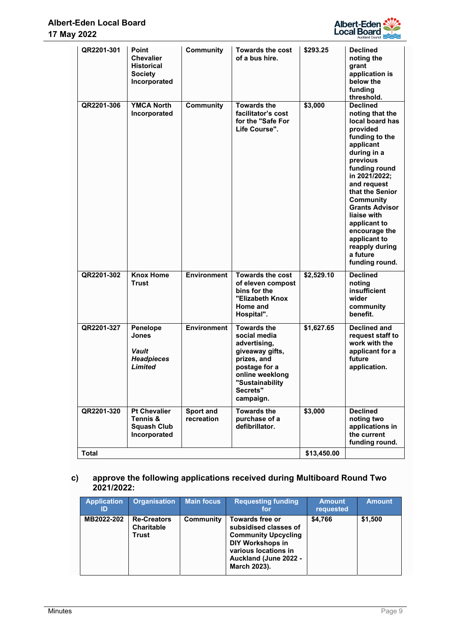

| QR2201-301   | Point<br><b>Chevalier</b><br><b>Historical</b><br><b>Society</b><br>Incorporated | <b>Community</b>        | <b>Towards the cost</b><br>of a bus hire.                                                                                                                            | \$293.25    | <b>Declined</b><br>noting the<br>grant<br>application is<br>below the<br>funding<br>threshold.                                                                                                                                                                                                                                                               |
|--------------|----------------------------------------------------------------------------------|-------------------------|----------------------------------------------------------------------------------------------------------------------------------------------------------------------|-------------|--------------------------------------------------------------------------------------------------------------------------------------------------------------------------------------------------------------------------------------------------------------------------------------------------------------------------------------------------------------|
| QR2201-306   | <b>YMCA North</b><br>Incorporated                                                | <b>Community</b>        | <b>Towards the</b><br>facilitator's cost<br>for the "Safe For<br>Life Course".                                                                                       | \$3,000     | <b>Declined</b><br>noting that the<br>local board has<br>provided<br>funding to the<br>applicant<br>during in a<br>previous<br>funding round<br>in 2021/2022;<br>and request<br>that the Senior<br><b>Community</b><br><b>Grants Advisor</b><br>liaise with<br>applicant to<br>encourage the<br>applicant to<br>reapply during<br>a future<br>funding round. |
| QR2201-302   | <b>Knox Home</b><br><b>Trust</b>                                                 | <b>Environment</b>      | <b>Towards the cost</b><br>of eleven compost<br>bins for the<br>"Elizabeth Knox<br>Home and<br>Hospital".                                                            | \$2,529.10  | <b>Declined</b><br>noting<br>insufficient<br>wider<br>community<br>benefit.                                                                                                                                                                                                                                                                                  |
| QR2201-327   | Penelope<br><b>Jones</b><br>Vault<br><b>Headpieces</b><br><b>Limited</b>         | <b>Environment</b>      | <b>Towards the</b><br>social media<br>advertising,<br>giveaway gifts,<br>prizes, and<br>postage for a<br>online weeklong<br>"Sustainability<br>Secrets"<br>campaign. | \$1,627.65  | <b>Declined and</b><br>request staff to<br>work with the<br>applicant for a<br>future<br>application.                                                                                                                                                                                                                                                        |
| QR2201-320   | <b>Pt Chevalier</b><br>Tennis &<br><b>Squash Club</b><br>Incorporated            | Sport and<br>recreation | <b>Towards the</b><br>purchase of a<br>defibrillator.                                                                                                                | \$3,000     | <b>Declined</b><br>noting two<br>applications in<br>the current<br>funding round.                                                                                                                                                                                                                                                                            |
| <b>Total</b> |                                                                                  |                         |                                                                                                                                                                      | \$13,450.00 |                                                                                                                                                                                                                                                                                                                                                              |

# **c) approve the following applications received during Multiboard Round Two 2021/2022:**

| <b>Application</b><br>ID | <b>Organisation</b>                              | Main focus | <b>Requesting funding</b><br>for                                                                                                                                   | <b>Amount</b><br>requested | <b>Amount</b> |
|--------------------------|--------------------------------------------------|------------|--------------------------------------------------------------------------------------------------------------------------------------------------------------------|----------------------------|---------------|
| MB2022-202               | <b>Re-Creators</b><br><b>Charitable</b><br>Trust | Community  | Towards free or<br>subsidised classes of<br><b>Community Upcycling</b><br><b>DIY Workshops in</b><br>various locations in<br>Auckland (June 2022 -<br>March 2023). | \$4.766                    | \$1,500       |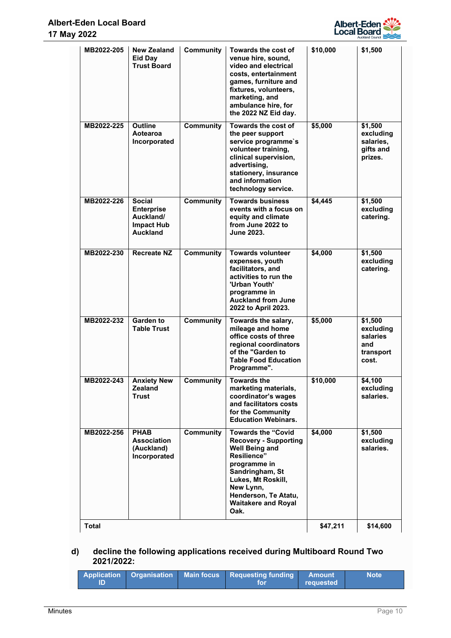

| MB2022-205   | <b>New Zealand</b><br><b>Eid Day</b><br><b>Trust Board</b>                              | <b>Community</b> | Towards the cost of<br>venue hire, sound,<br>video and electrical<br>costs, entertainment<br>games, furniture and<br>fixtures, volunteers,<br>marketing, and<br>ambulance hire, for<br>the 2022 NZ Eid day.                           | \$10,000 | \$1,500                                                       |
|--------------|-----------------------------------------------------------------------------------------|------------------|---------------------------------------------------------------------------------------------------------------------------------------------------------------------------------------------------------------------------------------|----------|---------------------------------------------------------------|
| MB2022-225   | <b>Outline</b><br>Aotearoa<br>Incorporated                                              | <b>Community</b> | Towards the cost of<br>the peer support<br>service programme's<br>volunteer training,<br>clinical supervision,<br>advertising,<br>stationery, insurance<br>and information<br>technology service.                                     | \$5,000  | \$1,500<br>excluding<br>salaries.<br>gifts and<br>prizes.     |
| MB2022-226   | <b>Social</b><br><b>Enterprise</b><br>Auckland/<br><b>Impact Hub</b><br><b>Auckland</b> | <b>Community</b> | <b>Towards business</b><br>events with a focus on<br>equity and climate<br>from June 2022 to<br><b>June 2023.</b>                                                                                                                     | \$4,445  | \$1,500<br>excluding<br>catering.                             |
| MB2022-230   | <b>Recreate NZ</b>                                                                      | <b>Community</b> | <b>Towards volunteer</b><br>expenses, youth<br>facilitators, and<br>activities to run the<br>'Urban Youth'<br>programme in<br><b>Auckland from June</b><br>2022 to April 2023.                                                        | \$4,000  | \$1,500<br>excluding<br>catering.                             |
| MB2022-232   | <b>Garden to</b><br><b>Table Trust</b>                                                  | <b>Community</b> | Towards the salary,<br>mileage and home<br>office costs of three<br>regional coordinators<br>of the "Garden to<br><b>Table Food Education</b><br>Programme".                                                                          | \$5,000  | \$1,500<br>excluding<br>salaries<br>and<br>transport<br>cost. |
| MB2022-243   | <b>Anxiety New</b><br><b>Zealand</b><br><b>Trust</b>                                    | Community        | <b>Towards the</b><br>marketing materials,<br>coordinator's wages<br>and facilitators costs<br>for the Community<br><b>Education Webinars.</b>                                                                                        | \$10,000 | \$4,100<br>excluding<br>salaries.                             |
| MB2022-256   | <b>PHAB</b><br><b>Association</b><br>(Auckland)<br>Incorporated                         | <b>Community</b> | <b>Towards the "Covid</b><br><b>Recovery - Supporting</b><br><b>Well Being and</b><br>Resilience"<br>programme in<br>Sandringham, St<br>Lukes, Mt Roskill,<br>New Lynn,<br>Henderson, Te Atatu,<br><b>Waitakere and Royal</b><br>Oak. | \$4,000  | \$1,500<br>excluding<br>salaries.                             |
| <b>Total</b> |                                                                                         |                  |                                                                                                                                                                                                                                       | \$47,211 | \$14,600                                                      |

# **d) decline the following applications received during Multiboard Round Two 2021/2022:**

| ID |  |  | Application Organisation Main focus Requesting funding Amount<br>f∩r | requested | <b>Note</b> |
|----|--|--|----------------------------------------------------------------------|-----------|-------------|
|----|--|--|----------------------------------------------------------------------|-----------|-------------|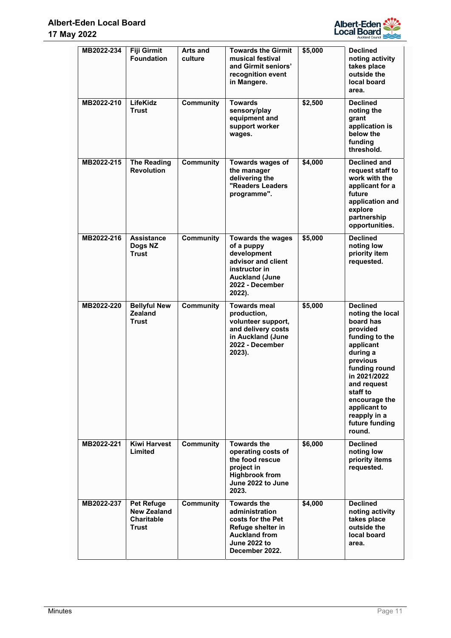

| MB2022-234 | <b>Fiji Girmit</b><br><b>Foundation</b>                               | Arts and<br>culture | <b>Towards the Girmit</b><br>musical festival<br>and Girmit seniors'<br>recognition event<br>in Mangere.                                           | \$5,000 | <b>Declined</b><br>noting activity<br>takes place<br>outside the<br>local board<br>area.                                                                                                                                                                     |
|------------|-----------------------------------------------------------------------|---------------------|----------------------------------------------------------------------------------------------------------------------------------------------------|---------|--------------------------------------------------------------------------------------------------------------------------------------------------------------------------------------------------------------------------------------------------------------|
| MB2022-210 | LifeKidz<br><b>Trust</b>                                              | <b>Community</b>    | <b>Towards</b><br>sensory/play<br>equipment and<br>support worker<br>wages.                                                                        | \$2,500 | <b>Declined</b><br>noting the<br>grant<br>application is<br>below the<br>funding<br>threshold.                                                                                                                                                               |
| MB2022-215 | <b>The Reading</b><br><b>Revolution</b>                               | <b>Community</b>    | Towards wages of<br>the manager<br>delivering the<br>"Readers Leaders<br>programme".                                                               | \$4,000 | <b>Declined and</b><br>request staff to<br>work with the<br>applicant for a<br>future<br>application and<br>explore<br>partnership<br>opportunities.                                                                                                         |
| MB2022-216 | <b>Assistance</b><br>Doas NZ<br><b>Trust</b>                          | <b>Community</b>    | <b>Towards the wages</b><br>of a puppy<br>development<br>advisor and client<br>instructor in<br><b>Auckland (June</b><br>2022 - December<br>2022). | \$5,000 | <b>Declined</b><br>noting low<br>priority item<br>requested.                                                                                                                                                                                                 |
| MB2022-220 | <b>Bellyful New</b><br>Zealand<br><b>Trust</b>                        | <b>Community</b>    | <b>Towards meal</b><br>production,<br>volunteer support,<br>and delivery costs<br>in Auckland (June<br>2022 - December<br>2023).                   | \$5,000 | <b>Declined</b><br>noting the local<br>board has<br>provided<br>funding to the<br>applicant<br>during a<br>previous<br>funding round<br>in 2021/2022<br>and request<br>staff to<br>encourage the<br>applicant to<br>reapply in a<br>future funding<br>round. |
| MB2022-221 | <b>Kiwi Harvest</b><br>Limited                                        | Community           | Towards the<br>operating costs of<br>the food rescue<br>project in<br><b>Highbrook from</b><br>June 2022 to June<br>2023.                          | \$6,000 | <b>Declined</b><br>noting low<br>priority items<br>requested.                                                                                                                                                                                                |
| MB2022-237 | <b>Pet Refuge</b><br><b>New Zealand</b><br><b>Charitable</b><br>Trust | <b>Community</b>    | <b>Towards the</b><br>administration<br>costs for the Pet<br>Refuge shelter in<br><b>Auckland from</b><br><b>June 2022 to</b><br>December 2022.    | \$4,000 | <b>Declined</b><br>noting activity<br>takes place<br>outside the<br>local board<br>area.                                                                                                                                                                     |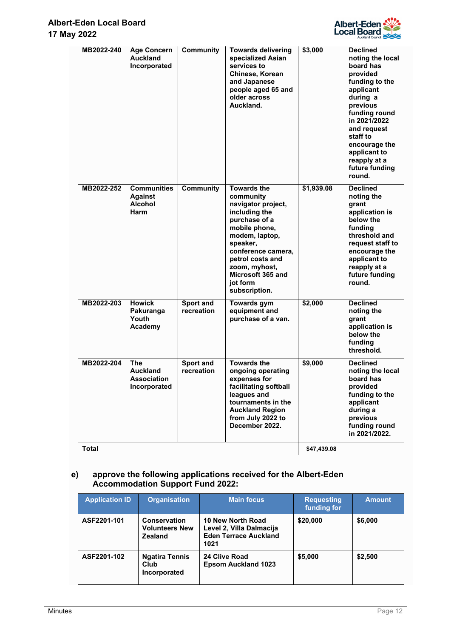

| MB2022-240   | <b>Age Concern</b><br><b>Auckland</b><br>Incorporated               | <b>Community</b>        | <b>Towards delivering</b><br>specialized Asian<br>services to<br>Chinese, Korean<br>and Japanese<br>people aged 65 and<br>older across<br>Auckland.                                                                                                 | \$3,000     | <b>Declined</b><br>noting the local<br>board has<br>provided<br>funding to the<br>applicant<br>during a<br>previous<br>funding round<br>in 2021/2022<br>and request<br>staff to<br>encourage the<br>applicant to<br>reapply at a<br>future funding<br>round. |
|--------------|---------------------------------------------------------------------|-------------------------|-----------------------------------------------------------------------------------------------------------------------------------------------------------------------------------------------------------------------------------------------------|-------------|--------------------------------------------------------------------------------------------------------------------------------------------------------------------------------------------------------------------------------------------------------------|
| MB2022-252   | <b>Communities</b><br><b>Against</b><br><b>Alcohol</b><br>Harm      | <b>Community</b>        | <b>Towards the</b><br>community<br>navigator project,<br>including the<br>purchase of a<br>mobile phone,<br>modem, laptop,<br>speaker,<br>conference camera,<br>petrol costs and<br>zoom, myhost,<br>Microsoft 365 and<br>jot form<br>subscription. | \$1,939.08  | <b>Declined</b><br>noting the<br>grant<br>application is<br>below the<br>funding<br>threshold and<br>request staff to<br>encourage the<br>applicant to<br>reapply at a<br>future funding<br>round.                                                           |
| MB2022-203   | <b>Howick</b><br>Pakuranga<br>Youth<br>Academy                      | Sport and<br>recreation | <b>Towards gym</b><br>equipment and<br>purchase of a van.                                                                                                                                                                                           | \$2,000     | <b>Declined</b><br>noting the<br>grant<br>application is<br>below the<br>funding<br>threshold.                                                                                                                                                               |
| MB2022-204   | <b>The</b><br><b>Auckland</b><br><b>Association</b><br>Incorporated | Sport and<br>recreation | <b>Towards the</b><br>ongoing operating<br>expenses for<br>facilitating softball<br>leagues and<br>tournaments in the<br><b>Auckland Region</b><br>from July 2022 to<br>December 2022.                                                              | \$9,000     | <b>Declined</b><br>noting the local<br>board has<br>provided<br>funding to the<br>applicant<br>during a<br>previous<br>funding round<br>in 2021/2022.                                                                                                        |
| <b>Total</b> |                                                                     |                         |                                                                                                                                                                                                                                                     | \$47.439.08 |                                                                                                                                                                                                                                                              |

# **e) approve the following applications received for the Albert-Eden Accommodation Support Fund 2022:**

| <b>Application ID</b> | <b>Organisation</b>                                            | <b>Main focus</b>                                                                     | <b>Requesting</b><br>funding for | <b>Amount</b> |
|-----------------------|----------------------------------------------------------------|---------------------------------------------------------------------------------------|----------------------------------|---------------|
| ASF2201-101           | <b>Conservation</b><br><b>Volunteers New</b><br><b>Zealand</b> | 10 New North Road<br>Level 2, Villa Dalmacija<br><b>Eden Terrace Auckland</b><br>1021 | \$20,000                         | \$6,000       |
| ASF2201-102           | <b>Ngatira Tennis</b><br>Club<br>Incorporated                  | 24 Clive Road<br><b>Epsom Auckland 1023</b>                                           | \$5,000                          | \$2,500       |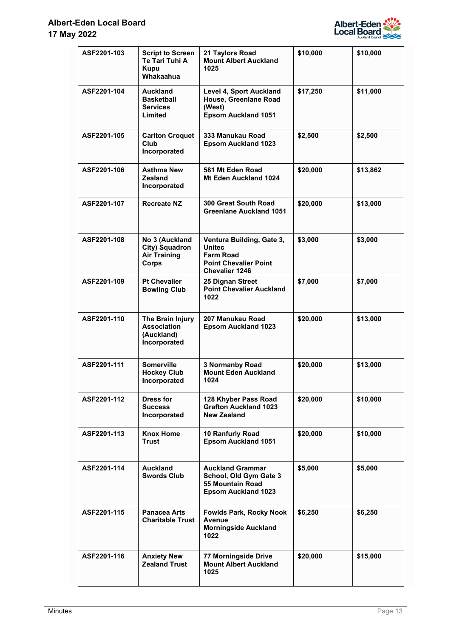

| ASF2201-103 | <b>Script to Screen</b><br>Te Tari Tuhi A<br><b>Kupu</b><br>Whakaahua | 21 Taylors Road<br><b>Mount Albert Auckland</b><br>1025                                                          | \$10,000 | \$10,000 |
|-------------|-----------------------------------------------------------------------|------------------------------------------------------------------------------------------------------------------|----------|----------|
| ASF2201-104 | Auckland<br><b>Basketball</b><br><b>Services</b><br>Limited           | <b>Level 4, Sport Auckland</b><br>House, Greenlane Road<br>(West)<br><b>Epsom Auckland 1051</b>                  | \$17,250 | \$11,000 |
| ASF2201-105 | <b>Carlton Croquet</b><br><b>Club</b><br>Incorporated                 | 333 Manukau Road<br><b>Epsom Auckland 1023</b>                                                                   | \$2,500  | \$2,500  |
| ASF2201-106 | <b>Asthma New</b><br>Zealand<br>Incorporated                          | 581 Mt Eden Road<br>Mt Eden Auckland 1024                                                                        | \$20,000 | \$13,862 |
| ASF2201-107 | <b>Recreate NZ</b>                                                    | 300 Great South Road<br><b>Greenlane Auckland 1051</b>                                                           | \$20,000 | \$13,000 |
| ASF2201-108 | No 3 (Auckland<br>City) Squadron<br><b>Air Training</b><br>Corps      | Ventura Building, Gate 3,<br><b>Unitec</b><br><b>Farm Road</b><br><b>Point Chevalier Point</b><br>Chevalier 1246 | \$3,000  | \$3,000  |
| ASF2201-109 | <b>Pt Chevalier</b><br><b>Bowling Club</b>                            | 25 Dignan Street<br><b>Point Chevalier Auckland</b><br>1022                                                      | \$7,000  | \$7,000  |
| ASF2201-110 | The Brain Injury<br><b>Association</b><br>(Auckland)<br>Incorporated  | 207 Manukau Road<br><b>Epsom Auckland 1023</b>                                                                   | \$20,000 | \$13,000 |
| ASF2201-111 | <b>Somerville</b><br><b>Hockey Club</b><br>Incorporated               | <b>3 Normanby Road</b><br><b>Mount Eden Auckland</b><br>1024                                                     | \$20,000 | \$13,000 |
| ASF2201-112 | Dress for<br><b>Success</b><br>Incorporated                           | 128 Khyber Pass Road<br><b>Grafton Auckland 1023</b><br>New Zealand                                              | \$20,000 | \$10,000 |
| ASF2201-113 | <b>Knox Home</b><br><b>Trust</b>                                      | 10 Ranfurly Road<br><b>Epsom Auckland 1051</b>                                                                   | \$20,000 | \$10,000 |
| ASF2201-114 | Auckland<br><b>Swords Club</b>                                        | <b>Auckland Grammar</b><br>School, Old Gym Gate 3<br><b>55 Mountain Road</b><br><b>Epsom Auckland 1023</b>       | \$5,000  | \$5,000  |
| ASF2201-115 | <b>Panacea Arts</b><br><b>Charitable Trust</b>                        | <b>Fowlds Park, Rocky Nook</b><br>Avenue<br><b>Morningside Auckland</b><br>1022                                  | \$6,250  | \$6,250  |
| ASF2201-116 | <b>Anxiety New</b><br><b>Zealand Trust</b>                            | 77 Morningside Drive<br><b>Mount Albert Auckland</b><br>1025                                                     | \$20,000 | \$15,000 |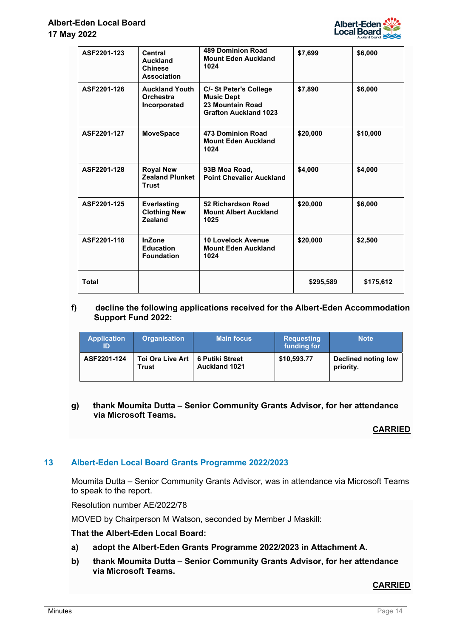

| ASF2201-123  | Central<br>Auckland<br><b>Chinese</b><br><b>Association</b> | <b>489 Dominion Road</b><br><b>Mount Eden Auckland</b><br>1024                                  | \$7,699   | \$6,000   |
|--------------|-------------------------------------------------------------|-------------------------------------------------------------------------------------------------|-----------|-----------|
| ASF2201-126  | <b>Auckland Youth</b><br><b>Orchestra</b><br>Incorporated   | C/- St Peter's College<br><b>Music Dept</b><br>23 Mountain Road<br><b>Grafton Auckland 1023</b> | \$7,890   | \$6,000   |
| ASF2201-127  | <b>MoveSpace</b>                                            | 473 Dominion Road<br><b>Mount Eden Auckland</b><br>1024                                         | \$20,000  | \$10,000  |
| ASF2201-128  | <b>Royal New</b><br><b>Zealand Plunket</b><br><b>Trust</b>  | 93B Moa Road,<br><b>Point Chevalier Auckland</b>                                                | \$4,000   | \$4,000   |
| ASF2201-125  | <b>Everlasting</b><br><b>Clothing New</b><br><b>Zealand</b> | 52 Richardson Road<br><b>Mount Albert Auckland</b><br>1025                                      | \$20,000  | \$6,000   |
| ASF2201-118  | <b>InZone</b><br><b>Education</b><br><b>Foundation</b>      | <b>10 Lovelock Avenue</b><br><b>Mount Eden Auckland</b><br>1024                                 | \$20,000  | \$2,500   |
| <b>Total</b> |                                                             |                                                                                                 | \$295,589 | \$175,612 |

# **f) decline the following applications received for the Albert-Eden Accommodation Support Fund 2022:**

| <b>Application</b><br>ID | <b>Organisation</b>                         | <b>Main focus</b>    | <b>Requesting</b><br>funding for | <b>Note</b>                      |
|--------------------------|---------------------------------------------|----------------------|----------------------------------|----------------------------------|
| ASF2201-124              | Toi Ora Live Art   6 Putiki Street<br>Trust | <b>Auckland 1021</b> | \$10,593.77                      | Declined noting low<br>priority. |

# **g) thank Moumita Dutta – Senior Community Grants Advisor, for her attendance via Microsoft Teams.**

# **CARRIED**

# **13 Albert-Eden Local Board Grants Programme 2022/2023**

Moumita Dutta – Senior Community Grants Advisor, was in attendance via Microsoft Teams to speak to the report.

Resolution number AE/2022/78

MOVED by Chairperson M Watson, seconded by Member J Maskill:

# **That the Albert-Eden Local Board:**

- **a) adopt the Albert-Eden Grants Programme 2022/2023 in Attachment A.**
- **b) thank Moumita Dutta Senior Community Grants Advisor, for her attendance via Microsoft Teams.**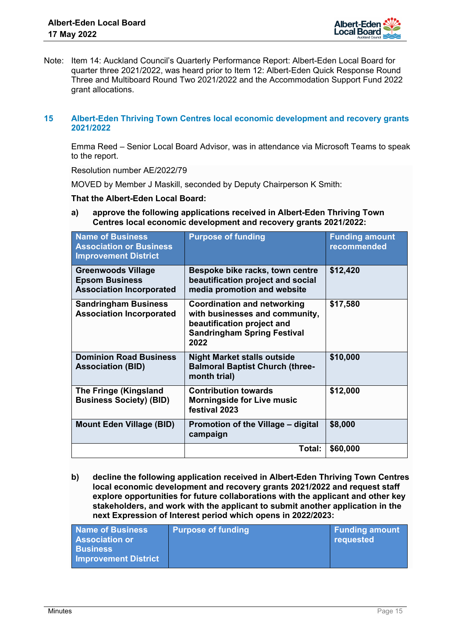

Note: Item 14: Auckland Council's Quarterly Performance Report: Albert-Eden Local Board for quarter three 2021/2022, was heard prior to Item 12: Albert-Eden Quick Response Round Three and Multiboard Round Two 2021/2022 and the Accommodation Support Fund 2022 grant allocations.

# **15 Albert-Eden Thriving Town Centres local economic development and recovery grants 2021/2022**

Emma Reed – Senior Local Board Advisor, was in attendance via Microsoft Teams to speak to the report.

Resolution number AE/2022/79

MOVED by Member J Maskill, seconded by Deputy Chairperson K Smith:

**That the Albert-Eden Local Board:** 

**a) approve the following applications received in Albert-Eden Thriving Town Centres local economic development and recovery grants 2021/2022:**

| <b>Name of Business</b><br><b>Association or Business</b><br><b>Improvement District</b> | <b>Purpose of funding</b>                                                                                                                        | <b>Funding amount</b><br>recommended |
|------------------------------------------------------------------------------------------|--------------------------------------------------------------------------------------------------------------------------------------------------|--------------------------------------|
| <b>Greenwoods Village</b><br><b>Epsom Business</b><br><b>Association Incorporated</b>    | Bespoke bike racks, town centre<br>beautification project and social<br>media promotion and website                                              | \$12,420                             |
| <b>Sandringham Business</b><br><b>Association Incorporated</b>                           | <b>Coordination and networking</b><br>with businesses and community,<br>beautification project and<br><b>Sandringham Spring Festival</b><br>2022 | \$17,580                             |
| <b>Dominion Road Business</b><br><b>Association (BID)</b>                                | <b>Night Market stalls outside</b><br><b>Balmoral Baptist Church (three-</b><br>month trial)                                                     | \$10,000                             |
| <b>The Fringe (Kingsland</b><br><b>Business Society) (BID)</b>                           | <b>Contribution towards</b><br><b>Morningside for Live music</b><br>festival 2023                                                                | \$12,000                             |
| <b>Mount Eden Village (BID)</b>                                                          | Promotion of the Village – digital<br>campaign                                                                                                   | \$8,000                              |
|                                                                                          | Total:                                                                                                                                           | \$60,000                             |

**b) decline the following application received in Albert-Eden Thriving Town Centres local economic development and recovery grants 2021/2022 and request staff explore opportunities for future collaborations with the applicant and other key stakeholders, and work with the applicant to submit another application in the next Expression of Interest period which opens in 2022/2023:** 

| Name of Business<br><b>Association or</b>      | <b>Purpose of funding</b> | <b>Funding amount</b><br>requested |
|------------------------------------------------|---------------------------|------------------------------------|
| <b>Business</b><br><b>Improvement District</b> |                           |                                    |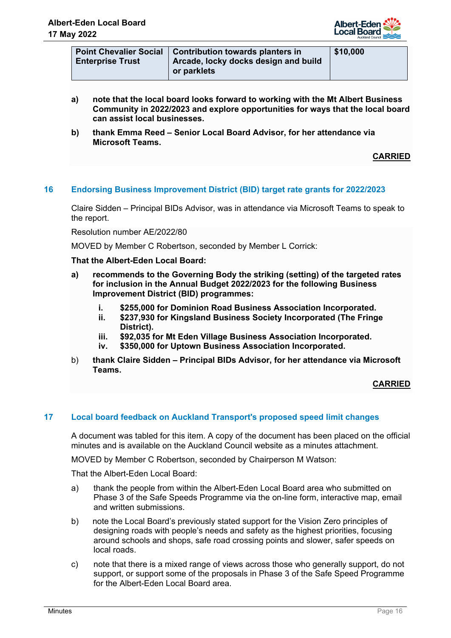

| <b>Point Chevalier Social</b> | <b>Contribution towards planters in</b> | \$10 |
|-------------------------------|-----------------------------------------|------|
| ∣ Enterprise Trust            | Arcade, locky docks design and build    |      |
|                               | or parklets                             |      |

- **a) note that the local board looks forward to working with the Mt Albert Business Community in 2022/2023 and explore opportunities for ways that the local board can assist local businesses.**
- **b) thank Emma Reed Senior Local Board Advisor, for her attendance via Microsoft Teams.**

# **16 Endorsing Business Improvement District (BID) target rate grants for 2022/2023**

Claire Sidden – Principal BIDs Advisor, was in attendance via Microsoft Teams to speak to the report.

Resolution number AE/2022/80

MOVED by Member C Robertson, seconded by Member L Corrick:

### **That the Albert-Eden Local Board:**

- **a) recommends to the Governing Body the striking (setting) of the targeted rates for inclusion in the Annual Budget 2022/2023 for the following Business Improvement District (BID) programmes:** 
	- **i. \$255,000 for Dominion Road Business Association Incorporated.**
	- **ii. \$237,930 for Kingsland Business Society Incorporated (The Fringe District).**
	- **iii. \$92,035 for Mt Eden Village Business Association Incorporated.**
	- **iv. \$350,000 for Uptown Business Association Incorporated.**
- b) **thank Claire Sidden Principal BIDs Advisor, for her attendance via Microsoft Teams.**

# **CARRIED**

# **17 Local board feedback on Auckland Transport's proposed speed limit changes**

A document was tabled for this item. A copy of the document has been placed on the official minutes and is available on the Auckland Council website as a minutes attachment.

MOVED by Member C Robertson, seconded by Chairperson M Watson:

- a) thank the people from within the Albert-Eden Local Board area who submitted on Phase 3 of the Safe Speeds Programme via the on-line form, interactive map, email and written submissions.
- b) note the Local Board's previously stated support for the Vision Zero principles of designing roads with people's needs and safety as the highest priorities, focusing around schools and shops, safe road crossing points and slower, safer speeds on local roads.
- c) note that there is a mixed range of views across those who generally support, do not support, or support some of the proposals in Phase 3 of the Safe Speed Programme for the Albert-Eden Local Board area.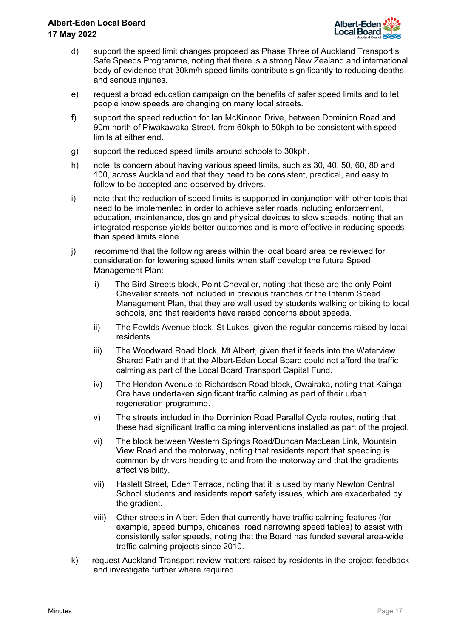

- d) support the speed limit changes proposed as Phase Three of Auckland Transport's Safe Speeds Programme, noting that there is a strong New Zealand and international body of evidence that 30km/h speed limits contribute significantly to reducing deaths and serious injuries.
- e) request a broad education campaign on the benefits of safer speed limits and to let people know speeds are changing on many local streets.
- f) support the speed reduction for Ian McKinnon Drive, between Dominion Road and 90m north of Piwakawaka Street, from 60kph to 50kph to be consistent with speed limits at either end.
- g) support the reduced speed limits around schools to 30kph.
- h) note its concern about having various speed limits, such as 30, 40, 50, 60, 80 and 100, across Auckland and that they need to be consistent, practical, and easy to follow to be accepted and observed by drivers.
- i) note that the reduction of speed limits is supported in conjunction with other tools that need to be implemented in order to achieve safer roads including enforcement, education, maintenance, design and physical devices to slow speeds, noting that an integrated response yields better outcomes and is more effective in reducing speeds than speed limits alone.
- j) recommend that the following areas within the local board area be reviewed for consideration for lowering speed limits when staff develop the future Speed Management Plan:
	- i) The Bird Streets block, Point Chevalier, noting that these are the only Point Chevalier streets not included in previous tranches or the Interim Speed Management Plan, that they are well used by students walking or biking to local schools, and that residents have raised concerns about speeds.
	- ii) The Fowlds Avenue block, St Lukes, given the regular concerns raised by local residents.
	- iii) The Woodward Road block, Mt Albert, given that it feeds into the Waterview Shared Path and that the Albert-Eden Local Board could not afford the traffic calming as part of the Local Board Transport Capital Fund.
	- iv) The Hendon Avenue to Richardson Road block, Owairaka, noting that Kāinga Ora have undertaken significant traffic calming as part of their urban regeneration programme.
	- v) The streets included in the Dominion Road Parallel Cycle routes, noting that these had significant traffic calming interventions installed as part of the project.
	- vi) The block between Western Springs Road/Duncan MacLean Link, Mountain View Road and the motorway, noting that residents report that speeding is common by drivers heading to and from the motorway and that the gradients affect visibility.
	- vii) Haslett Street, Eden Terrace, noting that it is used by many Newton Central School students and residents report safety issues, which are exacerbated by the gradient.
	- viii) Other streets in Albert-Eden that currently have traffic calming features (for example, speed bumps, chicanes, road narrowing speed tables) to assist with consistently safer speeds, noting that the Board has funded several area-wide traffic calming projects since 2010.
- k) request Auckland Transport review matters raised by residents in the project feedback and investigate further where required.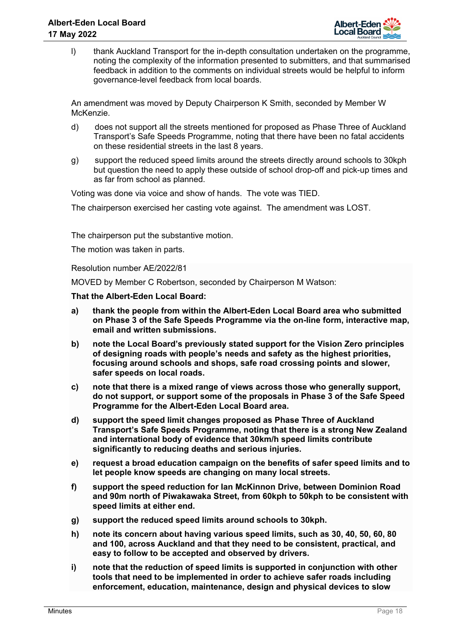

l) thank Auckland Transport for the in-depth consultation undertaken on the programme, noting the complexity of the information presented to submitters, and that summarised feedback in addition to the comments on individual streets would be helpful to inform governance-level feedback from local boards.

An amendment was moved by Deputy Chairperson K Smith, seconded by Member W McKenzie.

- d) does not support all the streets mentioned for proposed as Phase Three of Auckland Transport's Safe Speeds Programme, noting that there have been no fatal accidents on these residential streets in the last 8 years.
- g) support the reduced speed limits around the streets directly around schools to 30kph but question the need to apply these outside of school drop-off and pick-up times and as far from school as planned.

Voting was done via voice and show of hands. The vote was TIED.

The chairperson exercised her casting vote against. The amendment was LOST.

The chairperson put the substantive motion.

The motion was taken in parts.

Resolution number AE/2022/81

MOVED by Member C Robertson, seconded by Chairperson M Watson:

- **a) thank the people from within the Albert-Eden Local Board area who submitted on Phase 3 of the Safe Speeds Programme via the on-line form, interactive map, email and written submissions.**
- **b) note the Local Board's previously stated support for the Vision Zero principles of designing roads with people's needs and safety as the highest priorities, focusing around schools and shops, safe road crossing points and slower, safer speeds on local roads.**
- **c) note that there is a mixed range of views across those who generally support, do not support, or support some of the proposals in Phase 3 of the Safe Speed Programme for the Albert-Eden Local Board area.**
- **d) support the speed limit changes proposed as Phase Three of Auckland Transport's Safe Speeds Programme, noting that there is a strong New Zealand and international body of evidence that 30km/h speed limits contribute significantly to reducing deaths and serious injuries.**
- **e) request a broad education campaign on the benefits of safer speed limits and to let people know speeds are changing on many local streets.**
- **f) support the speed reduction for Ian McKinnon Drive, between Dominion Road and 90m north of Piwakawaka Street, from 60kph to 50kph to be consistent with speed limits at either end.**
- **g) support the reduced speed limits around schools to 30kph.**
- **h) note its concern about having various speed limits, such as 30, 40, 50, 60, 80 and 100, across Auckland and that they need to be consistent, practical, and easy to follow to be accepted and observed by drivers.**
- **i) note that the reduction of speed limits is supported in conjunction with other tools that need to be implemented in order to achieve safer roads including enforcement, education, maintenance, design and physical devices to slow**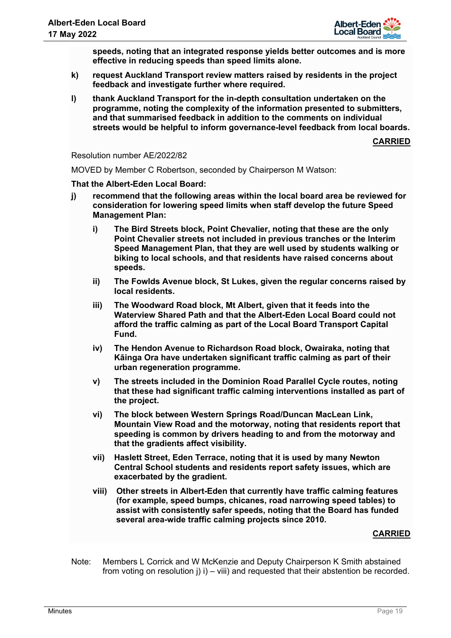

**speeds, noting that an integrated response yields better outcomes and is more effective in reducing speeds than speed limits alone.** 

- **k) request Auckland Transport review matters raised by residents in the project feedback and investigate further where required.**
- **l) thank Auckland Transport for the in-depth consultation undertaken on the programme, noting the complexity of the information presented to submitters, and that summarised feedback in addition to the comments on individual streets would be helpful to inform governance-level feedback from local boards.**

**CARRIED**

Resolution number AE/2022/82

MOVED by Member C Robertson, seconded by Chairperson M Watson:

### **That the Albert-Eden Local Board:**

- **j) recommend that the following areas within the local board area be reviewed for consideration for lowering speed limits when staff develop the future Speed Management Plan:** 
	- **i) The Bird Streets block, Point Chevalier, noting that these are the only Point Chevalier streets not included in previous tranches or the Interim Speed Management Plan, that they are well used by students walking or biking to local schools, and that residents have raised concerns about speeds.**
	- **ii) The Fowlds Avenue block, St Lukes, given the regular concerns raised by local residents.**
	- **iii) The Woodward Road block, Mt Albert, given that it feeds into the Waterview Shared Path and that the Albert-Eden Local Board could not afford the traffic calming as part of the Local Board Transport Capital Fund.**
	- **iv) The Hendon Avenue to Richardson Road block, Owairaka, noting that Kāinga Ora have undertaken significant traffic calming as part of their urban regeneration programme.**
	- **v) The streets included in the Dominion Road Parallel Cycle routes, noting that these had significant traffic calming interventions installed as part of the project.**
	- **vi) The block between Western Springs Road/Duncan MacLean Link, Mountain View Road and the motorway, noting that residents report that speeding is common by drivers heading to and from the motorway and that the gradients affect visibility.**
	- **vii) Haslett Street, Eden Terrace, noting that it is used by many Newton Central School students and residents report safety issues, which are exacerbated by the gradient.**
	- **viii) Other streets in Albert-Eden that currently have traffic calming features (for example, speed bumps, chicanes, road narrowing speed tables) to assist with consistently safer speeds, noting that the Board has funded several area-wide traffic calming projects since 2010.**

### **CARRIED**

Note: Members L Corrick and W McKenzie and Deputy Chairperson K Smith abstained from voting on resolution  $j$ )  $i$ ) – viii) and requested that their abstention be recorded.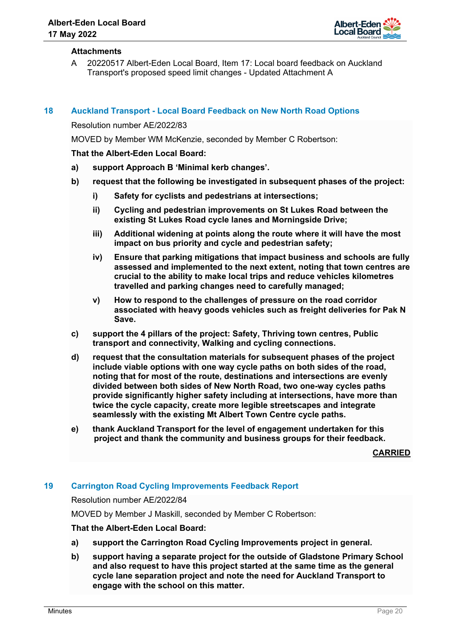

## **Attachments**

A 20220517 Albert-Eden Local Board, Item 17: Local board feedback on Auckland Transport's proposed speed limit changes - Updated Attachment A

# **18 Auckland Transport - Local Board Feedback on New North Road Options**

Resolution number AE/2022/83

MOVED by Member WM McKenzie, seconded by Member C Robertson:

### **That the Albert-Eden Local Board:**

- **a) support Approach B 'Minimal kerb changes'.**
- **b) request that the following be investigated in subsequent phases of the project:** 
	- **i) Safety for cyclists and pedestrians at intersections;**
	- **ii) Cycling and pedestrian improvements on St Lukes Road between the existing St Lukes Road cycle lanes and Morningside Drive;**
	- **iii) Additional widening at points along the route where it will have the most impact on bus priority and cycle and pedestrian safety;**
	- **iv) Ensure that parking mitigations that impact business and schools are fully assessed and implemented to the next extent, noting that town centres are crucial to the ability to make local trips and reduce vehicles kilometres travelled and parking changes need to carefully managed;**
	- **v) How to respond to the challenges of pressure on the road corridor associated with heavy goods vehicles such as freight deliveries for Pak N Save.**
- **c) support the 4 pillars of the project: Safety, Thriving town centres, Public transport and connectivity, Walking and cycling connections.**
- **d) request that the consultation materials for subsequent phases of the project include viable options with one way cycle paths on both sides of the road, noting that for most of the route, destinations and intersections are evenly divided between both sides of New North Road, two one-way cycles paths provide significantly higher safety including at intersections, have more than twice the cycle capacity, create more legible streetscapes and integrate seamlessly with the existing Mt Albert Town Centre cycle paths.**
- **e) thank Auckland Transport for the level of engagement undertaken for this project and thank the community and business groups for their feedback.**

**CARRIED**

# **19 Carrington Road Cycling Improvements Feedback Report**

Resolution number AE/2022/84

MOVED by Member J Maskill, seconded by Member C Robertson:

- **a) support the Carrington Road Cycling Improvements project in general.**
- **b) support having a separate project for the outside of Gladstone Primary School and also request to have this project started at the same time as the general cycle lane separation project and note the need for Auckland Transport to engage with the school on this matter.**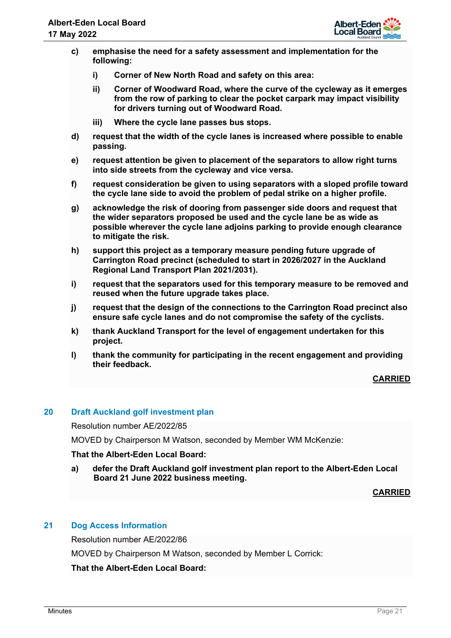

- **c) emphasise the need for a safety assessment and implementation for the following:** 
	- **i) Corner of New North Road and safety on this area:**
	- **ii) Corner of Woodward Road, where the curve of the cycleway as it emerges from the row of parking to clear the pocket carpark may impact visibility for drivers turning out of Woodward Road.**
	- **iii) Where the cycle lane passes bus stops.**
- **d) request that the width of the cycle lanes is increased where possible to enable passing.**
- **e) request attention be given to placement of the separators to allow right turns into side streets from the cycleway and vice versa.**
- **f) request consideration be given to using separators with a sloped profile toward the cycle lane side to avoid the problem of pedal strike on a higher profile.**
- **g) acknowledge the risk of dooring from passenger side doors and request that the wider separators proposed be used and the cycle lane be as wide as possible wherever the cycle lane adjoins parking to provide enough clearance to mitigate the risk.**
- **h) support this project as a temporary measure pending future upgrade of Carrington Road precinct (scheduled to start in 2026/2027 in the Auckland Regional Land Transport Plan 2021/2031).**
- **i) request that the separators used for this temporary measure to be removed and reused when the future upgrade takes place.**
- **j) request that the design of the connections to the Carrington Road precinct also ensure safe cycle lanes and do not compromise the safety of the cyclists.**
- **k) thank Auckland Transport for the level of engagement undertaken for this project.**
- **l) thank the community for participating in the recent engagement and providing their feedback.**

# **20 Draft Auckland golf investment plan**

Resolution number AE/2022/85

MOVED by Chairperson M Watson, seconded by Member WM McKenzie:

### **That the Albert-Eden Local Board:**

**a) defer the Draft Auckland golf investment plan report to the Albert-Eden Local Board 21 June 2022 business meeting.**

**CARRIED**

# **21 Dog Access Information**

Resolution number AE/2022/86

MOVED by Chairperson M Watson, seconded by Member L Corrick: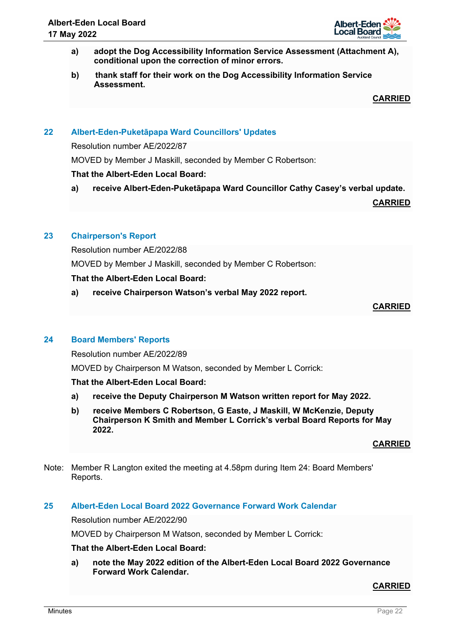- **a) adopt the Dog Accessibility Information Service Assessment (Attachment A), conditional upon the correction of minor errors.**
- **b) thank staff for their work on the Dog Accessibility Information Service Assessment.**

# **22 Albert-Eden-Puketāpapa Ward Councillors' Updates**

Resolution number AE/2022/87

MOVED by Member J Maskill, seconded by Member C Robertson:

# **That the Albert-Eden Local Board:**

**a) receive Albert-Eden-Puketāpapa Ward Councillor Cathy Casey's verbal update.**

**CARRIED**

# **23 Chairperson's Report**

Resolution number AE/2022/88

MOVED by Member J Maskill, seconded by Member C Robertson:

# **That the Albert-Eden Local Board:**

**a) receive Chairperson Watson's verbal May 2022 report.**

# **CARRIED**

# **24 Board Members' Reports**

Resolution number AE/2022/89

MOVED by Chairperson M Watson, seconded by Member L Corrick:

# **That the Albert-Eden Local Board:**

- **a) receive the Deputy Chairperson M Watson written report for May 2022.**
- **b) receive Members C Robertson, G Easte, J Maskill, W McKenzie, Deputy Chairperson K Smith and Member L Corrick's verbal Board Reports for May 2022.**

## **CARRIED**

Note: Member R Langton exited the meeting at 4.58pm during Item 24: Board Members' Reports.

### **25 Albert-Eden Local Board 2022 Governance Forward Work Calendar**

Resolution number AE/2022/90

MOVED by Chairperson M Watson, seconded by Member L Corrick:

# **That the Albert-Eden Local Board:**

**a) note the May 2022 edition of the Albert-Eden Local Board 2022 Governance Forward Work Calendar.**